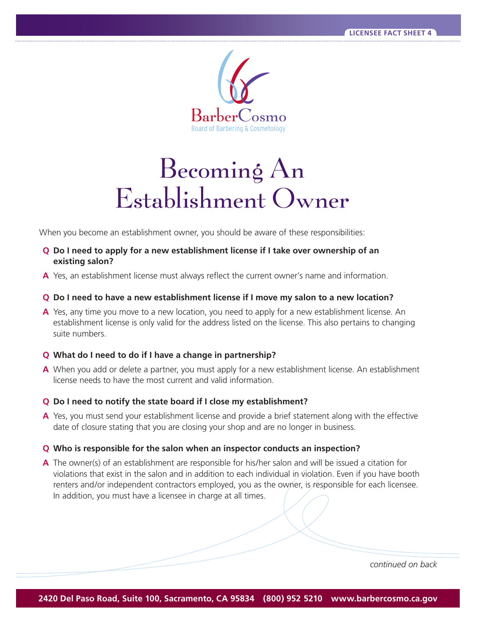

# $\overline{\text{b}}$ lishment  $\overline{\text{O}}_{\text{W1}}$

Establishment Owner When you become an establishment owner, you should be aware of these responsibilities:

- **Q** Do I need to apply for a new establishment license if I take over ownership of an **existing salon?**
- **A** Yes, an establishment license must always reflect the current owner's name and information.

## **Q** Do I need to have a new establishment license if I move my salon to a new location?

**A** Yes, any time you move to a new location, you need to apply for a new establishment license. An establishment license is only valid for the address listed on the license. This also pertains to changing suite numbers.

## **Q** What do I need to do if I have a change in partnership?

**A** When you add or delete a partner, you must apply for a new establishment license. An establishment license needs to have the most current and valid information.

#### **Q** Do I need to notify the state board if I close my establishment?

**A** Yes, you must send your establishment license and provide a brief statement along with the effective date of closure stating that you are closing your shop and are no longer in business.

#### **Q Who is responsible for the salon when an inspector conducts an inspection?**

**A** The owner(s) of an establishment are responsible for his/her salon and will be issued a citation for violations that exist in the salon and in addition to each individual in violation. Even if you have booth renters and/or independent contractors employed, you as the owner, is responsible for each licensee. In addition, you must have a licensee in charge at all times.

*continued on back*